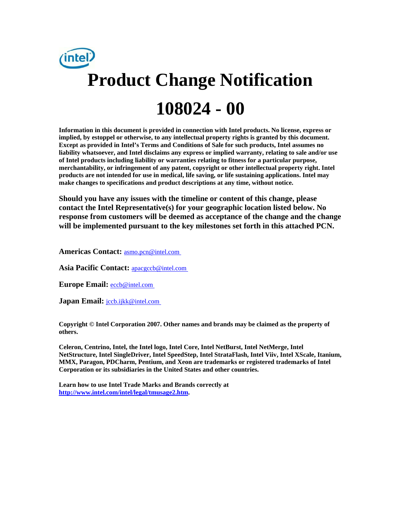

**Information in this document is provided in connection with Intel products. No license, express or implied, by estoppel or otherwise, to any intellectual property rights is granted by this document. Except as provided in Intel's Terms and Conditions of Sale for such products, Intel assumes no liability whatsoever, and Intel disclaims any express or implied warranty, relating to sale and/or use of Intel products including liability or warranties relating to fitness for a particular purpose, merchantability, or infringement of any patent, copyright or other intellectual property right. Intel products are not intended for use in medical, life saving, or life sustaining applications. Intel may make changes to specifications and product descriptions at any time, without notice.** 

**Should you have any issues with the timeline or content of this change, please contact the Intel Representative(s) for your geographic location listed below. No response from customers will be deemed as acceptance of the change and the change will be implemented pursuant to the key milestones set forth in this attached PCN.** 

**Americas Contact:** [asmo.pcn@intel.com](mailto:asmo.pcn@intel.com) 

**Asia Pacific Contact:** [apacgccb@intel.com](mailto:apacgccb@intel.com) 

Europe Email: **eccb@intel.com** 

**Japan Email:** *jccb.ijkk@intel.com* 

**Copyright © Intel Corporation 2007. Other names and brands may be claimed as the property of others.**

**Celeron, Centrino, Intel, the Intel logo, Intel Core, Intel NetBurst, Intel NetMerge, Intel NetStructure, Intel SingleDriver, Intel SpeedStep, Intel StrataFlash, Intel Viiv, Intel XScale, Itanium, MMX, Paragon, PDCharm, Pentium, and Xeon are trademarks or registered trademarks of Intel Corporation or its subsidiaries in the United States and other countries.** 

**Learn how to use Intel Trade Marks and Brands correctly at [http://www.intel.com/intel/legal/tmusage2.htm.](http://www.intel.com/intel/legal/tmusage2.htm)**